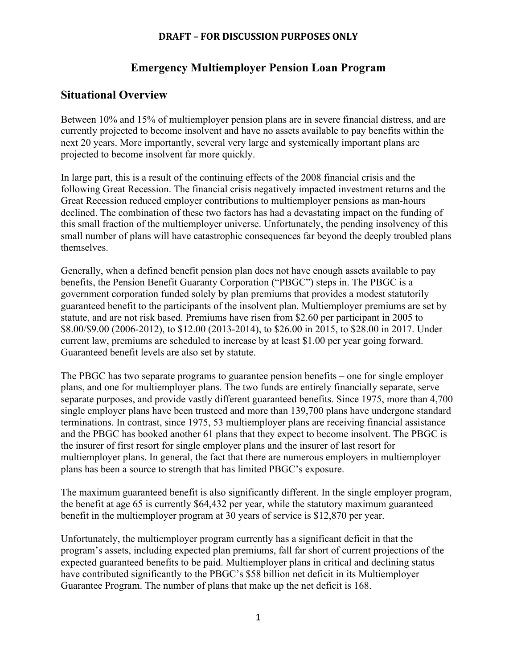### **Emergency Multiemployer Pension Loan Program**

### **Situational Overview**

Between 10% and 15% of multiemployer pension plans are in severe financial distress, and are currently projected to become insolvent and have no assets available to pay benefits within the next 20 years. More importantly, several very large and systemically important plans are projected to become insolvent far more quickly.

In large part, this is a result of the continuing effects of the 2008 financial crisis and the following Great Recession. The financial crisis negatively impacted investment returns and the Great Recession reduced employer contributions to multiemployer pensions as man-hours declined. The combination of these two factors has had a devastating impact on the funding of this small fraction of the multiemployer universe. Unfortunately, the pending insolvency of this small number of plans will have catastrophic consequences far beyond the deeply troubled plans themselves.

Generally, when a defined benefit pension plan does not have enough assets available to pay benefits, the Pension Benefit Guaranty Corporation ("PBGC") steps in. The PBGC is a government corporation funded solely by plan premiums that provides a modest statutorily guaranteed benefit to the participants of the insolvent plan. Multiemployer premiums are set by statute, and are not risk based. Premiums have risen from \$2.60 per participant in 2005 to \$8.00/\$9.00 (2006-2012), to \$12.00 (2013-2014), to \$26.00 in 2015, to \$28.00 in 2017. Under current law, premiums are scheduled to increase by at least \$1.00 per year going forward. Guaranteed benefit levels are also set by statute.

The PBGC has two separate programs to guarantee pension benefits – one for single employer plans, and one for multiemployer plans. The two funds are entirely financially separate, serve separate purposes, and provide vastly different guaranteed benefits. Since 1975, more than 4,700 single employer plans have been trusteed and more than 139,700 plans have undergone standard terminations. In contrast, since 1975, 53 multiemployer plans are receiving financial assistance and the PBGC has booked another 61 plans that they expect to become insolvent. The PBGC is the insurer of first resort for single employer plans and the insurer of last resort for multiemployer plans. In general, the fact that there are numerous employers in multiemployer plans has been a source to strength that has limited PBGC's exposure.

The maximum guaranteed benefit is also significantly different. In the single employer program, the benefit at age 65 is currently \$64,432 per year, while the statutory maximum guaranteed benefit in the multiemployer program at 30 years of service is \$12,870 per year.

Unfortunately, the multiemployer program currently has a significant deficit in that the program's assets, including expected plan premiums, fall far short of current projections of the expected guaranteed benefits to be paid. Multiemployer plans in critical and declining status have contributed significantly to the PBGC's \$58 billion net deficit in its Multiemployer Guarantee Program. The number of plans that make up the net deficit is 168.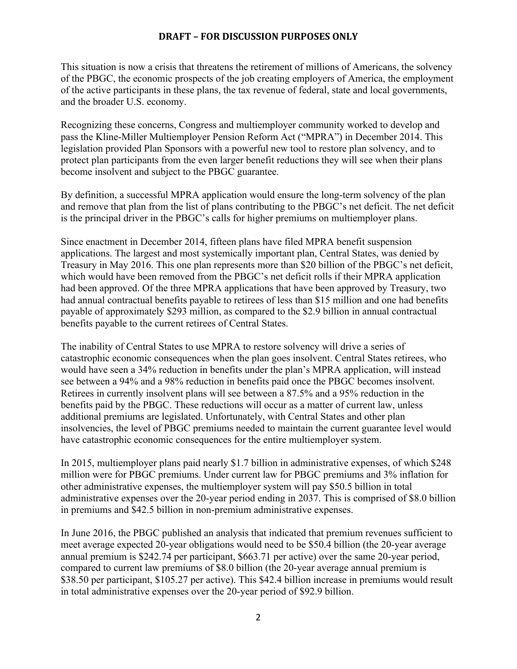This situation is now a crisis that threatens the retirement of millions of Americans, the solvency of the PBGC, the economic prospects of the job creating employers of America, the employment of the active participants in these plans, the tax revenue of federal, state and local governments, and the broader U.S. economy.

Recognizing these concerns, Congress and multiemployer community worked to develop and pass the Kline-Miller Multiemployer Pension Reform Act ("MPRA") in December 2014. This legislation provided Plan Sponsors with a powerful new tool to restore plan solvency, and to protect plan participants from the even larger benefit reductions they will see when their plans become insolvent and subject to the PBGC guarantee.

By definition, a successful MPRA application would ensure the long-term solvency of the plan and remove that plan from the list of plans contributing to the PBGC's net deficit. The net deficit is the principal driver in the PBGC's calls for higher premiums on multiemployer plans.

Since enactment in December 2014, fifteen plans have filed MPRA benefit suspension applications. The largest and most systemically important plan, Central States, was denied by Treasury in May 2016. This one plan represents more than \$20 billion of the PBGC's net deficit, which would have been removed from the PBGC's net deficit rolls if their MPRA application had been approved. Of the three MPRA applications that have been approved by Treasury, two had annual contractual benefits payable to retirees of less than \$15 million and one had benefits payable of approximately \$293 million, as compared to the \$2.9 billion in annual contractual benefits payable to the current retirees of Central States.

The inability of Central States to use MPRA to restore solvency will drive a series of catastrophic economic consequences when the plan goes insolvent. Central States retirees, who would have seen a 34% reduction in benefits under the plan's MPRA application, will instead see between a 94% and a 98% reduction in benefits paid once the PBGC becomes insolvent. Retirees in currently insolvent plans will see between a 87.5% and a 95% reduction in the benefits paid by the PBGC. These reductions will occur as a matter of current law, unless additional premiums are legislated. Unfortunately, with Central States and other plan insolvencies, the level of PBGC premiums needed to maintain the current guarantee level would have catastrophic economic consequences for the entire multiemployer system.

In 2015, multiemployer plans paid nearly \$1.7 billion in administrative expenses, of which \$248 million were for PBGC premiums. Under current law for PBGC premiums and 3% inflation for other administrative expenses, the multiemployer system will pay \$50.5 billion in total administrative expenses over the 20-year period ending in 2037. This is comprised of \$8.0 billion in premiums and \$42.5 billion in non-premium administrative expenses.

In June 2016, the PBGC published an analysis that indicated that premium revenues sufficient to meet average expected 20-year obligations would need to be \$50.4 billion (the 20-year average annual premium is \$242.74 per participant, \$663.71 per active) over the same 20-year period, compared to current law premiums of \$8.0 billion (the 20-year average annual premium is \$38.50 per participant, \$105.27 per active). This \$42.4 billion increase in premiums would result in total administrative expenses over the 20-year period of \$92.9 billion.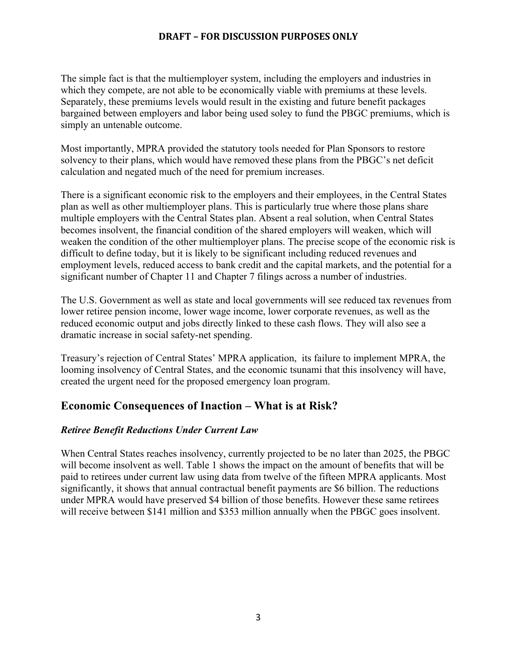The simple fact is that the multiemployer system, including the employers and industries in which they compete, are not able to be economically viable with premiums at these levels. Separately, these premiums levels would result in the existing and future benefit packages bargained between employers and labor being used soley to fund the PBGC premiums, which is simply an untenable outcome.

Most importantly, MPRA provided the statutory tools needed for Plan Sponsors to restore solvency to their plans, which would have removed these plans from the PBGC's net deficit calculation and negated much of the need for premium increases.

There is a significant economic risk to the employers and their employees, in the Central States plan as well as other multiemployer plans. This is particularly true where those plans share multiple employers with the Central States plan. Absent a real solution, when Central States becomes insolvent, the financial condition of the shared employers will weaken, which will weaken the condition of the other multiemployer plans. The precise scope of the economic risk is difficult to define today, but it is likely to be significant including reduced revenues and employment levels, reduced access to bank credit and the capital markets, and the potential for a significant number of Chapter 11 and Chapter 7 filings across a number of industries.

The U.S. Government as well as state and local governments will see reduced tax revenues from lower retiree pension income, lower wage income, lower corporate revenues, as well as the reduced economic output and jobs directly linked to these cash flows. They will also see a dramatic increase in social safety-net spending.

Treasury's rejection of Central States' MPRA application, its failure to implement MPRA, the looming insolvency of Central States, and the economic tsunami that this insolvency will have, created the urgent need for the proposed emergency loan program.

### **Economic Consequences of Inaction – What is at Risk?**

#### *Retiree Benefit Reductions Under Current Law*

When Central States reaches insolvency, currently projected to be no later than 2025, the PBGC will become insolvent as well. Table 1 shows the impact on the amount of benefits that will be paid to retirees under current law using data from twelve of the fifteen MPRA applicants. Most significantly, it shows that annual contractual benefit payments are \$6 billion. The reductions under MPRA would have preserved \$4 billion of those benefits. However these same retirees will receive between \$141 million and \$353 million annually when the PBGC goes insolvent.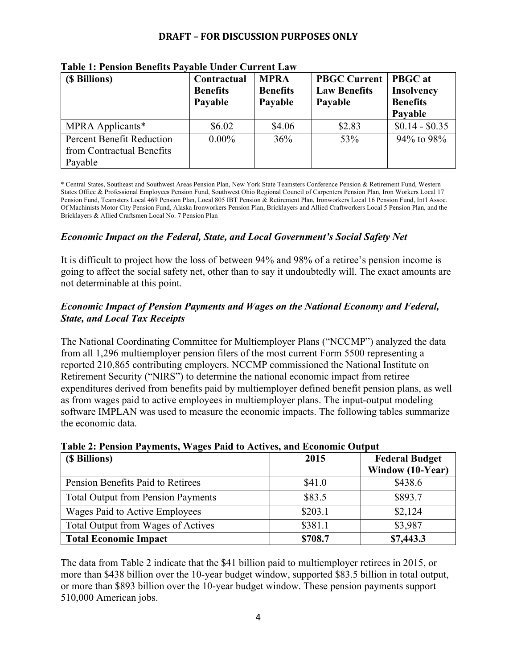| (\$ Billions)                                                            | Contractual<br><b>Benefits</b><br>Payable | <b>MPRA</b><br><b>Benefits</b><br>Payable | <b>PBGC Current</b><br><b>Law Benefits</b><br>Payable | <b>PBGC</b> at<br><b>Insolvency</b><br><b>Benefits</b><br>Payable |
|--------------------------------------------------------------------------|-------------------------------------------|-------------------------------------------|-------------------------------------------------------|-------------------------------------------------------------------|
| MPRA Applicants*                                                         | \$6.02                                    | \$4.06                                    | \$2.83                                                | $$0.14 - $0.35$                                                   |
| <b>Percent Benefit Reduction</b><br>from Contractual Benefits<br>Payable | $0.00\%$                                  | 36%                                       | 53%                                                   | 94% to 98%                                                        |

**Table 1: Pension Benefits Payable Under Current Law**

\* Central States, Southeast and Southwest Areas Pension Plan, New York State Teamsters Conference Pension & Retirement Fund, Western States Office & Professional Employees Pension Fund, Southwest Ohio Regional Council of Carpenters Pension Plan, Iron Workers Local 17 Pension Fund, Teamsters Local 469 Pension Plan, Local 805 IBT Pension & Retirement Plan, Ironworkers Local 16 Pension Fund, Int'l Assoc. Of Machinists Motor City Pension Fund, Alaska Ironworkers Pension Plan, Bricklayers and Allied Craftworkers Local 5 Pension Plan, and the Bricklayers & Allied Craftsmen Local No. 7 Pension Plan

#### *Economic Impact on the Federal, State, and Local Government's Social Safety Net*

It is difficult to project how the loss of between 94% and 98% of a retiree's pension income is going to affect the social safety net, other than to say it undoubtedly will. The exact amounts are not determinable at this point.

#### *Economic Impact of Pension Payments and Wages on the National Economy and Federal, State, and Local Tax Receipts*

The National Coordinating Committee for Multiemployer Plans ("NCCMP") analyzed the data from all 1,296 multiemployer pension filers of the most current Form 5500 representing a reported 210,865 contributing employers. NCCMP commissioned the National Institute on Retirement Security ("NIRS") to determine the national economic impact from retiree expenditures derived from benefits paid by multiemployer defined benefit pension plans, as well as from wages paid to active employees in multiemployer plans. The input-output modeling software IMPLAN was used to measure the economic impacts. The following tables summarize the economic data.

| (\$ Billions)                             | 2015    | <b>Federal Budget</b> |
|-------------------------------------------|---------|-----------------------|
|                                           |         | Window (10-Year)      |
| Pension Benefits Paid to Retirees         | \$41.0  | \$438.6               |
| <b>Total Output from Pension Payments</b> | \$83.5  | \$893.7               |
| Wages Paid to Active Employees            | \$203.1 | \$2,124               |
| Total Output from Wages of Actives        | \$381.1 | \$3,987               |
| <b>Total Economic Impact</b>              | \$708.7 | \$7,443.3             |

#### **Table 2: Pension Payments, Wages Paid to Actives, and Economic Output**

The data from Table 2 indicate that the \$41 billion paid to multiemployer retirees in 2015, or more than \$438 billion over the 10-year budget window, supported \$83.5 billion in total output, or more than \$893 billion over the 10-year budget window. These pension payments support 510,000 American jobs.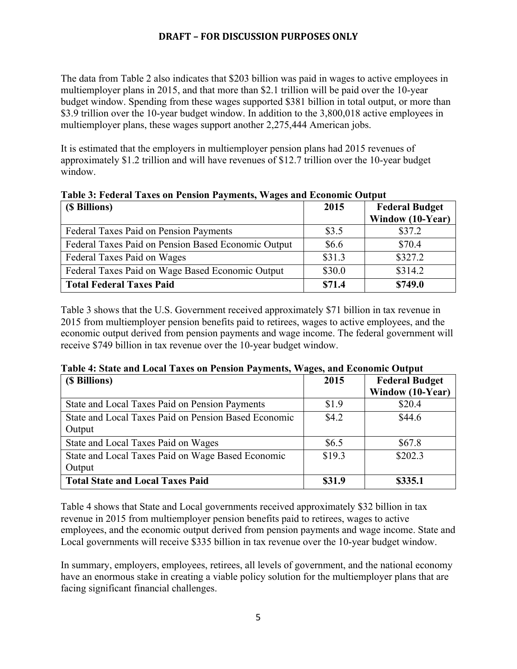The data from Table 2 also indicates that \$203 billion was paid in wages to active employees in multiemployer plans in 2015, and that more than \$2.1 trillion will be paid over the 10-year budget window. Spending from these wages supported \$381 billion in total output, or more than \$3.9 trillion over the 10-year budget window. In addition to the 3,800,018 active employees in multiemployer plans, these wages support another 2,275,444 American jobs.

It is estimated that the employers in multiemployer pension plans had 2015 revenues of approximately \$1.2 trillion and will have revenues of \$12.7 trillion over the 10-year budget window.

| (\$ Billions)                                       | 2015   | <b>Federal Budget</b><br><b>Window (10-Year)</b> |
|-----------------------------------------------------|--------|--------------------------------------------------|
| Federal Taxes Paid on Pension Payments              | \$3.5  | \$37.2                                           |
| Federal Taxes Paid on Pension Based Economic Output | \$6.6  | \$70.4                                           |
| Federal Taxes Paid on Wages                         | \$31.3 | \$327.2                                          |
| Federal Taxes Paid on Wage Based Economic Output    | \$30.0 | \$314.2                                          |
| <b>Total Federal Taxes Paid</b>                     | \$71.4 | \$749.0                                          |

**Table 3: Federal Taxes on Pension Payments, Wages and Economic Output**

Table 3 shows that the U.S. Government received approximately \$71 billion in tax revenue in 2015 from multiemployer pension benefits paid to retirees, wages to active employees, and the economic output derived from pension payments and wage income. The federal government will receive \$749 billion in tax revenue over the 10-year budget window.

| Tabit 7. Statt and Local Taxts on I chsion I ayıntnis, <i>wa</i> gts, and Economic Output |         |                       |  |
|-------------------------------------------------------------------------------------------|---------|-----------------------|--|
| (\$ Billions)                                                                             | 2015    | <b>Federal Budget</b> |  |
|                                                                                           |         | Window (10-Year)      |  |
| State and Local Taxes Paid on Pension Payments                                            | \$1.9   | \$20.4                |  |
| State and Local Taxes Paid on Pension Based Economic                                      | \$4.2\$ | \$44.6                |  |
| Output                                                                                    |         |                       |  |
| State and Local Taxes Paid on Wages                                                       | \$6.5   | \$67.8                |  |
| State and Local Taxes Paid on Wage Based Economic                                         | \$19.3  | \$202.3               |  |
| Output                                                                                    |         |                       |  |
| Total State and Local Taxes Paid                                                          | \$31.9  | \$335.1               |  |

#### **Table 4: State and Local Taxes on Pension Payments, Wages, and Economic Output**

Table 4 shows that State and Local governments received approximately \$32 billion in tax revenue in 2015 from multiemployer pension benefits paid to retirees, wages to active employees, and the economic output derived from pension payments and wage income. State and Local governments will receive \$335 billion in tax revenue over the 10-year budget window.

In summary, employers, employees, retirees, all levels of government, and the national economy have an enormous stake in creating a viable policy solution for the multiemployer plans that are facing significant financial challenges.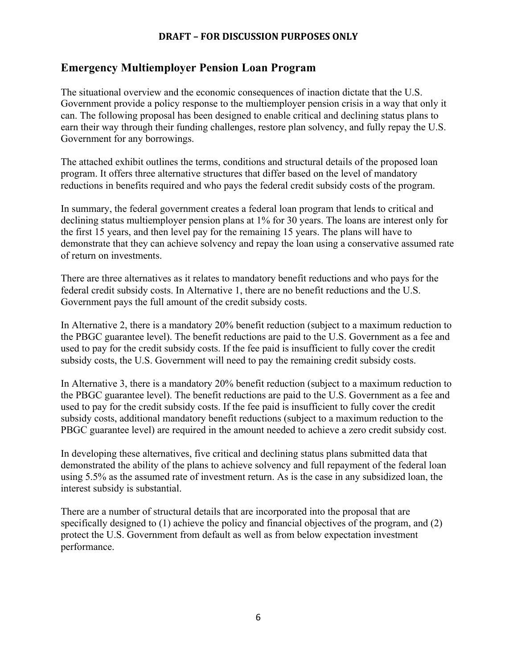### **Emergency Multiemployer Pension Loan Program**

The situational overview and the economic consequences of inaction dictate that the U.S. Government provide a policy response to the multiemployer pension crisis in a way that only it can. The following proposal has been designed to enable critical and declining status plans to earn their way through their funding challenges, restore plan solvency, and fully repay the U.S. Government for any borrowings.

The attached exhibit outlines the terms, conditions and structural details of the proposed loan program. It offers three alternative structures that differ based on the level of mandatory reductions in benefits required and who pays the federal credit subsidy costs of the program.

In summary, the federal government creates a federal loan program that lends to critical and declining status multiemployer pension plans at 1% for 30 years. The loans are interest only for the first 15 years, and then level pay for the remaining 15 years. The plans will have to demonstrate that they can achieve solvency and repay the loan using a conservative assumed rate of return on investments.

There are three alternatives as it relates to mandatory benefit reductions and who pays for the federal credit subsidy costs. In Alternative 1, there are no benefit reductions and the U.S. Government pays the full amount of the credit subsidy costs.

In Alternative 2, there is a mandatory 20% benefit reduction (subject to a maximum reduction to the PBGC guarantee level). The benefit reductions are paid to the U.S. Government as a fee and used to pay for the credit subsidy costs. If the fee paid is insufficient to fully cover the credit subsidy costs, the U.S. Government will need to pay the remaining credit subsidy costs.

In Alternative 3, there is a mandatory 20% benefit reduction (subject to a maximum reduction to the PBGC guarantee level). The benefit reductions are paid to the U.S. Government as a fee and used to pay for the credit subsidy costs. If the fee paid is insufficient to fully cover the credit subsidy costs, additional mandatory benefit reductions (subject to a maximum reduction to the PBGC guarantee level) are required in the amount needed to achieve a zero credit subsidy cost.

In developing these alternatives, five critical and declining status plans submitted data that demonstrated the ability of the plans to achieve solvency and full repayment of the federal loan using 5.5% as the assumed rate of investment return. As is the case in any subsidized loan, the interest subsidy is substantial.

There are a number of structural details that are incorporated into the proposal that are specifically designed to (1) achieve the policy and financial objectives of the program, and (2) protect the U.S. Government from default as well as from below expectation investment performance.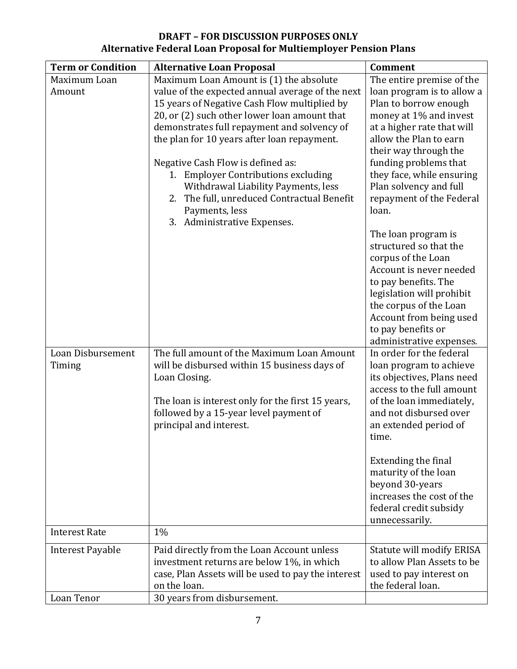| <b>Term or Condition</b> | <b>Alternative Loan Proposal</b>                   | <b>Comment</b>                                    |
|--------------------------|----------------------------------------------------|---------------------------------------------------|
| Maximum Loan             | Maximum Loan Amount is (1) the absolute            | The entire premise of the                         |
| Amount                   | value of the expected annual average of the next   | loan program is to allow a                        |
|                          | 15 years of Negative Cash Flow multiplied by       | Plan to borrow enough                             |
|                          | 20, or (2) such other lower loan amount that       | money at 1% and invest                            |
|                          | demonstrates full repayment and solvency of        | at a higher rate that will                        |
|                          | the plan for 10 years after loan repayment.        | allow the Plan to earn                            |
|                          | Negative Cash Flow is defined as:                  | their way through the<br>funding problems that    |
|                          | 1. Employer Contributions excluding                | they face, while ensuring                         |
|                          | Withdrawal Liability Payments, less                | Plan solvency and full                            |
|                          | 2. The full, unreduced Contractual Benefit         | repayment of the Federal                          |
|                          | Payments, less                                     | loan.                                             |
|                          | 3. Administrative Expenses.                        |                                                   |
|                          |                                                    | The loan program is                               |
|                          |                                                    | structured so that the                            |
|                          |                                                    | corpus of the Loan                                |
|                          |                                                    | Account is never needed                           |
|                          |                                                    | to pay benefits. The                              |
|                          |                                                    | legislation will prohibit                         |
|                          |                                                    | the corpus of the Loan<br>Account from being used |
|                          |                                                    | to pay benefits or                                |
|                          |                                                    | administrative expenses.                          |
| Loan Disbursement        | The full amount of the Maximum Loan Amount         | In order for the federal                          |
| Timing                   | will be disbursed within 15 business days of       | loan program to achieve                           |
|                          | Loan Closing.                                      | its objectives, Plans need                        |
|                          |                                                    | access to the full amount                         |
|                          | The loan is interest only for the first 15 years,  | of the loan immediately,                          |
|                          | followed by a 15-year level payment of             | and not disbursed over                            |
|                          | principal and interest.                            | an extended period of                             |
|                          |                                                    | time.                                             |
|                          |                                                    | Extending the final                               |
|                          |                                                    | maturity of the loan                              |
|                          |                                                    | beyond 30-years                                   |
|                          |                                                    | increases the cost of the                         |
|                          |                                                    | federal credit subsidy                            |
|                          |                                                    | unnecessarily.                                    |
| <b>Interest Rate</b>     | 1%                                                 |                                                   |
| <b>Interest Payable</b>  | Paid directly from the Loan Account unless         | <b>Statute will modify ERISA</b>                  |
|                          | investment returns are below 1%, in which          | to allow Plan Assets to be                        |
|                          | case, Plan Assets will be used to pay the interest | used to pay interest on                           |
|                          | on the loan.                                       | the federal loan.                                 |
| Loan Tenor               | 30 years from disbursement.                        |                                                   |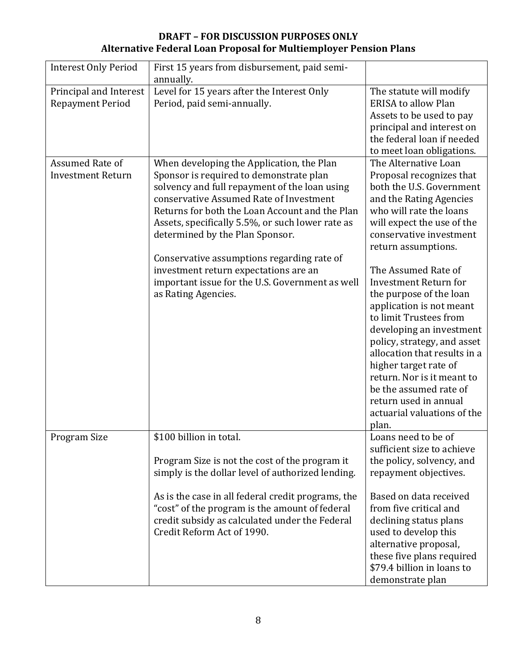| <b>Interest Only Period</b> | First 15 years from disbursement, paid semi-       |                                                       |
|-----------------------------|----------------------------------------------------|-------------------------------------------------------|
|                             | annually.                                          |                                                       |
| Principal and Interest      | Level for 15 years after the Interest Only         | The statute will modify<br><b>ERISA to allow Plan</b> |
| <b>Repayment Period</b>     | Period, paid semi-annually.                        |                                                       |
|                             |                                                    | Assets to be used to pay                              |
|                             |                                                    | principal and interest on                             |
|                             |                                                    | the federal loan if needed                            |
|                             |                                                    | to meet loan obligations.                             |
| Assumed Rate of             | When developing the Application, the Plan          | The Alternative Loan                                  |
| <b>Investment Return</b>    | Sponsor is required to demonstrate plan            | Proposal recognizes that                              |
|                             | solvency and full repayment of the loan using      | both the U.S. Government                              |
|                             | conservative Assumed Rate of Investment            | and the Rating Agencies                               |
|                             | Returns for both the Loan Account and the Plan     | who will rate the loans                               |
|                             | Assets, specifically 5.5%, or such lower rate as   | will expect the use of the                            |
|                             | determined by the Plan Sponsor.                    | conservative investment                               |
|                             |                                                    | return assumptions.                                   |
|                             | Conservative assumptions regarding rate of         |                                                       |
|                             | investment return expectations are an              | The Assumed Rate of                                   |
|                             | important issue for the U.S. Government as well    | <b>Investment Return for</b>                          |
|                             | as Rating Agencies.                                | the purpose of the loan                               |
|                             |                                                    | application is not meant                              |
|                             |                                                    | to limit Trustees from                                |
|                             |                                                    | developing an investment                              |
|                             |                                                    | policy, strategy, and asset                           |
|                             |                                                    | allocation that results in a                          |
|                             |                                                    | higher target rate of                                 |
|                             |                                                    | return. Nor is it meant to                            |
|                             |                                                    | be the assumed rate of                                |
|                             |                                                    | return used in annual                                 |
|                             |                                                    | actuarial valuations of the                           |
|                             |                                                    | plan.                                                 |
| Program Size                | \$100 billion in total.                            | Loans need to be of                                   |
|                             |                                                    | sufficient size to achieve                            |
|                             | Program Size is not the cost of the program it     | the policy, solvency, and                             |
|                             | simply is the dollar level of authorized lending.  | repayment objectives.                                 |
|                             | As is the case in all federal credit programs, the | Based on data received                                |
|                             | "cost" of the program is the amount of federal     | from five critical and                                |
|                             | credit subsidy as calculated under the Federal     | declining status plans                                |
|                             | Credit Reform Act of 1990.                         | used to develop this                                  |
|                             |                                                    | alternative proposal,                                 |
|                             |                                                    | these five plans required                             |
|                             |                                                    | \$79.4 billion in loans to                            |
|                             |                                                    | demonstrate plan                                      |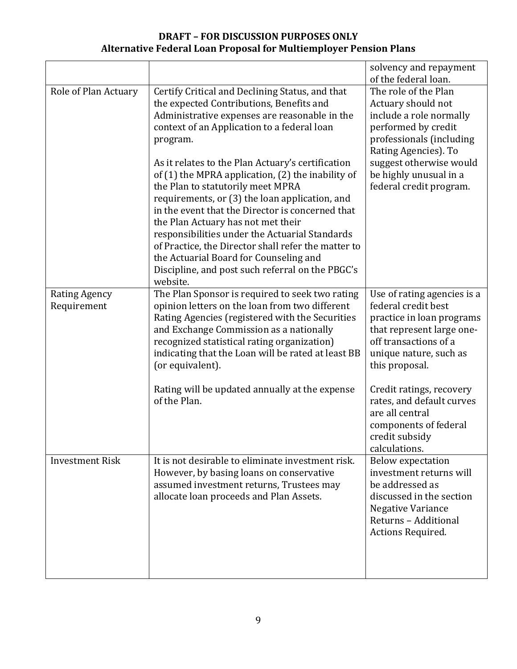|                                     |                                                                                                                                                                                                                                                                                                                                                                                                                                                                                                                                                                                                                                                                                                                       | solvency and repayment<br>of the federal loan.                                                                                                                                                                                   |
|-------------------------------------|-----------------------------------------------------------------------------------------------------------------------------------------------------------------------------------------------------------------------------------------------------------------------------------------------------------------------------------------------------------------------------------------------------------------------------------------------------------------------------------------------------------------------------------------------------------------------------------------------------------------------------------------------------------------------------------------------------------------------|----------------------------------------------------------------------------------------------------------------------------------------------------------------------------------------------------------------------------------|
| Role of Plan Actuary                | Certify Critical and Declining Status, and that<br>the expected Contributions, Benefits and<br>Administrative expenses are reasonable in the<br>context of an Application to a federal loan<br>program.<br>As it relates to the Plan Actuary's certification<br>of (1) the MPRA application, (2) the inability of<br>the Plan to statutorily meet MPRA<br>requirements, or (3) the loan application, and<br>in the event that the Director is concerned that<br>the Plan Actuary has not met their<br>responsibilities under the Actuarial Standards<br>of Practice, the Director shall refer the matter to<br>the Actuarial Board for Counseling and<br>Discipline, and post such referral on the PBGC's<br>website. | The role of the Plan<br>Actuary should not<br>include a role normally<br>performed by credit<br>professionals (including<br>Rating Agencies). To<br>suggest otherwise would<br>be highly unusual in a<br>federal credit program. |
| <b>Rating Agency</b><br>Requirement | The Plan Sponsor is required to seek two rating<br>opinion letters on the loan from two different<br>Rating Agencies (registered with the Securities<br>and Exchange Commission as a nationally<br>recognized statistical rating organization)<br>indicating that the Loan will be rated at least BB<br>(or equivalent).                                                                                                                                                                                                                                                                                                                                                                                              | Use of rating agencies is a<br>federal credit best<br>practice in loan programs<br>that represent large one-<br>off transactions of a<br>unique nature, such as<br>this proposal.                                                |
|                                     | Rating will be updated annually at the expense<br>of the Plan.                                                                                                                                                                                                                                                                                                                                                                                                                                                                                                                                                                                                                                                        | Credit ratings, recovery<br>rates, and default curves<br>are all central<br>components of federal<br>credit subsidy<br>calculations.                                                                                             |
| <b>Investment Risk</b>              | It is not desirable to eliminate investment risk.<br>However, by basing loans on conservative<br>assumed investment returns, Trustees may<br>allocate loan proceeds and Plan Assets.                                                                                                                                                                                                                                                                                                                                                                                                                                                                                                                                  | <b>Below expectation</b><br>investment returns will<br>be addressed as<br>discussed in the section<br>Negative Variance<br>Returns - Additional<br>Actions Required.                                                             |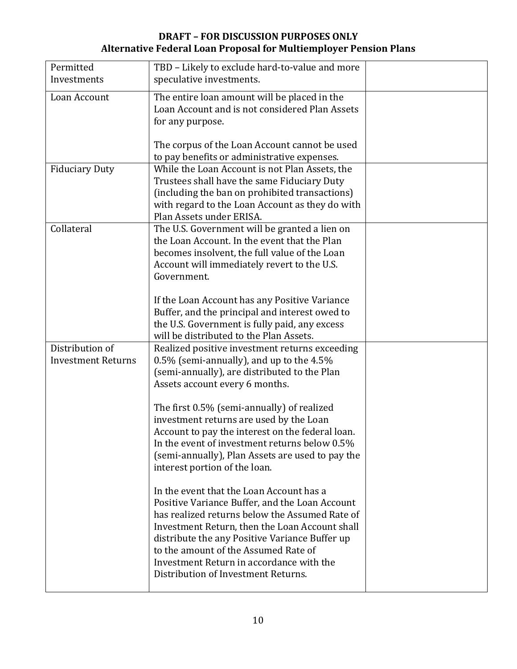| Permitted                 | TBD - Likely to exclude hard-to-value and more   |  |
|---------------------------|--------------------------------------------------|--|
| Investments               | speculative investments.                         |  |
|                           |                                                  |  |
| Loan Account              | The entire loan amount will be placed in the     |  |
|                           | Loan Account and is not considered Plan Assets   |  |
|                           | for any purpose.                                 |  |
|                           |                                                  |  |
|                           | The corpus of the Loan Account cannot be used    |  |
|                           | to pay benefits or administrative expenses.      |  |
| <b>Fiduciary Duty</b>     | While the Loan Account is not Plan Assets, the   |  |
|                           | Trustees shall have the same Fiduciary Duty      |  |
|                           | (including the ban on prohibited transactions)   |  |
|                           | with regard to the Loan Account as they do with  |  |
|                           | Plan Assets under ERISA.                         |  |
| Collateral                | The U.S. Government will be granted a lien on    |  |
|                           | the Loan Account. In the event that the Plan     |  |
|                           | becomes insolvent, the full value of the Loan    |  |
|                           | Account will immediately revert to the U.S.      |  |
|                           | Government.                                      |  |
|                           |                                                  |  |
|                           | If the Loan Account has any Positive Variance    |  |
|                           | Buffer, and the principal and interest owed to   |  |
|                           | the U.S. Government is fully paid, any excess    |  |
|                           | will be distributed to the Plan Assets.          |  |
| Distribution of           | Realized positive investment returns exceeding   |  |
| <b>Investment Returns</b> | 0.5% (semi-annually), and up to the 4.5%         |  |
|                           | (semi-annually), are distributed to the Plan     |  |
|                           | Assets account every 6 months.                   |  |
|                           |                                                  |  |
|                           | The first 0.5% (semi-annually) of realized       |  |
|                           | investment returns are used by the Loan          |  |
|                           | Account to pay the interest on the federal loan. |  |
|                           | In the event of investment returns below 0.5%    |  |
|                           | (semi-annually), Plan Assets are used to pay the |  |
|                           | interest portion of the loan.                    |  |
|                           |                                                  |  |
|                           | In the event that the Loan Account has a         |  |
|                           | Positive Variance Buffer, and the Loan Account   |  |
|                           | has realized returns below the Assumed Rate of   |  |
|                           | Investment Return, then the Loan Account shall   |  |
|                           | distribute the any Positive Variance Buffer up   |  |
|                           | to the amount of the Assumed Rate of             |  |
|                           | Investment Return in accordance with the         |  |
|                           | Distribution of Investment Returns.              |  |
|                           |                                                  |  |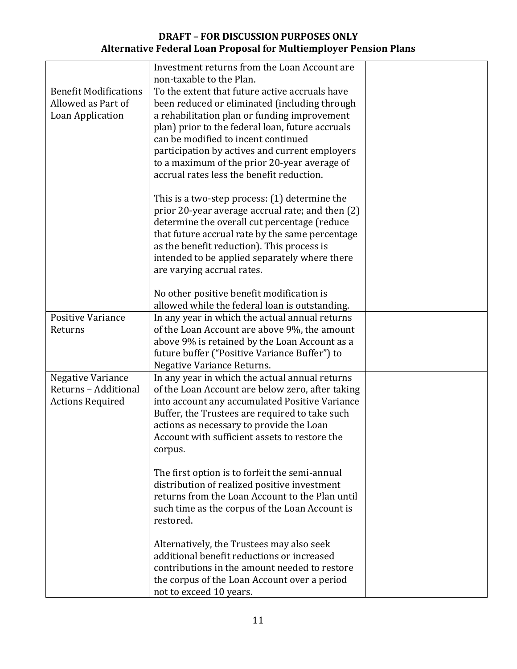|                                                                        | Investment returns from the Loan Account are<br>non-taxable to the Plan.                                                                                                                                                                                                                                                                                                                  |  |
|------------------------------------------------------------------------|-------------------------------------------------------------------------------------------------------------------------------------------------------------------------------------------------------------------------------------------------------------------------------------------------------------------------------------------------------------------------------------------|--|
| <b>Benefit Modifications</b><br>Allowed as Part of<br>Loan Application | To the extent that future active accruals have<br>been reduced or eliminated (including through<br>a rehabilitation plan or funding improvement<br>plan) prior to the federal loan, future accruals<br>can be modified to incent continued<br>participation by actives and current employers<br>to a maximum of the prior 20-year average of<br>accrual rates less the benefit reduction. |  |
|                                                                        | This is a two-step process: (1) determine the<br>prior 20-year average accrual rate; and then (2)<br>determine the overall cut percentage (reduce<br>that future accrual rate by the same percentage<br>as the benefit reduction). This process is<br>intended to be applied separately where there<br>are varying accrual rates.                                                         |  |
|                                                                        | No other positive benefit modification is<br>allowed while the federal loan is outstanding.                                                                                                                                                                                                                                                                                               |  |
| <b>Positive Variance</b><br>Returns                                    | In any year in which the actual annual returns<br>of the Loan Account are above 9%, the amount<br>above 9% is retained by the Loan Account as a<br>future buffer ("Positive Variance Buffer") to<br><b>Negative Variance Returns.</b>                                                                                                                                                     |  |
| Negative Variance<br>Returns - Additional<br><b>Actions Required</b>   | In any year in which the actual annual returns<br>of the Loan Account are below zero, after taking<br>into account any accumulated Positive Variance<br>Buffer, the Trustees are required to take such<br>actions as necessary to provide the Loan<br>Account with sufficient assets to restore the<br>corpus.                                                                            |  |
|                                                                        | The first option is to forfeit the semi-annual<br>distribution of realized positive investment<br>returns from the Loan Account to the Plan until<br>such time as the corpus of the Loan Account is<br>restored.                                                                                                                                                                          |  |
|                                                                        | Alternatively, the Trustees may also seek<br>additional benefit reductions or increased<br>contributions in the amount needed to restore<br>the corpus of the Loan Account over a period<br>not to exceed 10 years.                                                                                                                                                                       |  |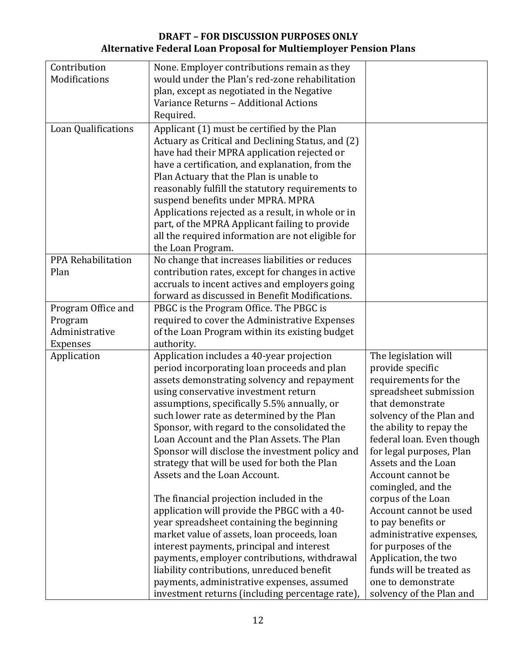| Contribution        | None. Employer contributions remain as they       |                           |
|---------------------|---------------------------------------------------|---------------------------|
| Modifications       | would under the Plan's red-zone rehabilitation    |                           |
|                     | plan, except as negotiated in the Negative        |                           |
|                     | Variance Returns - Additional Actions             |                           |
|                     |                                                   |                           |
|                     | Required.                                         |                           |
| Loan Qualifications | Applicant (1) must be certified by the Plan       |                           |
|                     | Actuary as Critical and Declining Status, and (2) |                           |
|                     | have had their MPRA application rejected or       |                           |
|                     | have a certification, and explanation, from the   |                           |
|                     | Plan Actuary that the Plan is unable to           |                           |
|                     | reasonably fulfill the statutory requirements to  |                           |
|                     | suspend benefits under MPRA. MPRA                 |                           |
|                     | Applications rejected as a result, in whole or in |                           |
|                     | part, of the MPRA Applicant failing to provide    |                           |
|                     | all the required information are not eligible for |                           |
|                     | the Loan Program.                                 |                           |
| PPA Rehabilitation  | No change that increases liabilities or reduces   |                           |
| Plan                | contribution rates, except for changes in active  |                           |
|                     | accruals to incent actives and employers going    |                           |
|                     | forward as discussed in Benefit Modifications.    |                           |
| Program Office and  | PBGC is the Program Office. The PBGC is           |                           |
| Program             | required to cover the Administrative Expenses     |                           |
| Administrative      | of the Loan Program within its existing budget    |                           |
| <b>Expenses</b>     | authority.                                        |                           |
| Application         | Application includes a 40-year projection         | The legislation will      |
|                     | period incorporating loan proceeds and plan       | provide specific          |
|                     | assets demonstrating solvency and repayment       | requirements for the      |
|                     | using conservative investment return              | spreadsheet submission    |
|                     | assumptions, specifically 5.5% annually, or       | that demonstrate          |
|                     | such lower rate as determined by the Plan         | solvency of the Plan and  |
|                     | Sponsor, with regard to the consolidated the      | the ability to repay the  |
|                     | Loan Account and the Plan Assets. The Plan        | federal loan. Even though |
|                     | Sponsor will disclose the investment policy and   | for legal purposes, Plan  |
|                     | strategy that will be used for both the Plan      | Assets and the Loan       |
|                     | Assets and the Loan Account.                      | Account cannot be         |
|                     |                                                   | comingled, and the        |
|                     | The financial projection included in the          | corpus of the Loan        |
|                     | application will provide the PBGC with a 40-      | Account cannot be used    |
|                     | year spreadsheet containing the beginning         | to pay benefits or        |
|                     | market value of assets, loan proceeds, loan       | administrative expenses,  |
|                     | interest payments, principal and interest         | for purposes of the       |
|                     | payments, employer contributions, withdrawal      | Application, the two      |
|                     | liability contributions, unreduced benefit        | funds will be treated as  |
|                     | payments, administrative expenses, assumed        | one to demonstrate        |
|                     | investment returns (including percentage rate),   | solvency of the Plan and  |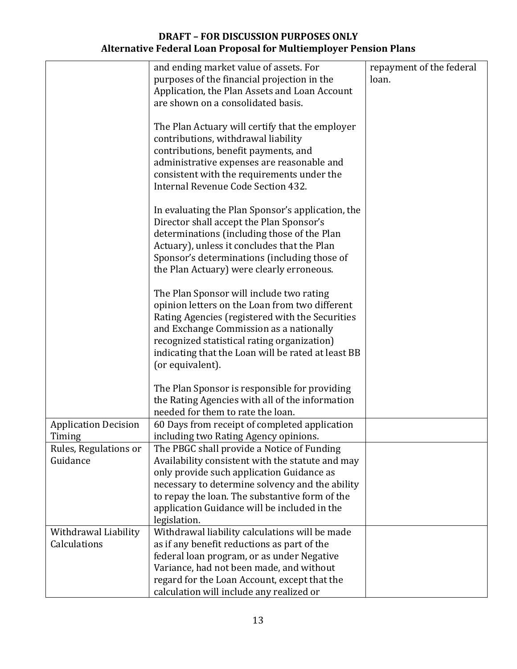|                             | and ending market value of assets. For             | repayment of the federal |
|-----------------------------|----------------------------------------------------|--------------------------|
|                             | purposes of the financial projection in the        | loan.                    |
|                             | Application, the Plan Assets and Loan Account      |                          |
|                             | are shown on a consolidated basis.                 |                          |
|                             |                                                    |                          |
|                             | The Plan Actuary will certify that the employer    |                          |
|                             | contributions, withdrawal liability                |                          |
|                             | contributions, benefit payments, and               |                          |
|                             | administrative expenses are reasonable and         |                          |
|                             | consistent with the requirements under the         |                          |
|                             | Internal Revenue Code Section 432.                 |                          |
|                             |                                                    |                          |
|                             | In evaluating the Plan Sponsor's application, the  |                          |
|                             | Director shall accept the Plan Sponsor's           |                          |
|                             | determinations (including those of the Plan        |                          |
|                             | Actuary), unless it concludes that the Plan        |                          |
|                             | Sponsor's determinations (including those of       |                          |
|                             | the Plan Actuary) were clearly erroneous.          |                          |
|                             |                                                    |                          |
|                             | The Plan Sponsor will include two rating           |                          |
|                             | opinion letters on the Loan from two different     |                          |
|                             | Rating Agencies (registered with the Securities    |                          |
|                             | and Exchange Commission as a nationally            |                          |
|                             | recognized statistical rating organization)        |                          |
|                             | indicating that the Loan will be rated at least BB |                          |
|                             | (or equivalent).                                   |                          |
|                             |                                                    |                          |
|                             | The Plan Sponsor is responsible for providing      |                          |
|                             | the Rating Agencies with all of the information    |                          |
|                             | needed for them to rate the loan.                  |                          |
| <b>Application Decision</b> | 60 Days from receipt of completed application      |                          |
| Timing                      | including two Rating Agency opinions.              |                          |
| Rules, Regulations or       | The PBGC shall provide a Notice of Funding         |                          |
| Guidance                    | Availability consistent with the statute and may   |                          |
|                             | only provide such application Guidance as          |                          |
|                             | necessary to determine solvency and the ability    |                          |
|                             | to repay the loan. The substantive form of the     |                          |
|                             | application Guidance will be included in the       |                          |
|                             | legislation.                                       |                          |
| Withdrawal Liability        | Withdrawal liability calculations will be made     |                          |
| Calculations                | as if any benefit reductions as part of the        |                          |
|                             | federal loan program, or as under Negative         |                          |
|                             | Variance, had not been made, and without           |                          |
|                             | regard for the Loan Account, except that the       |                          |
|                             | calculation will include any realized or           |                          |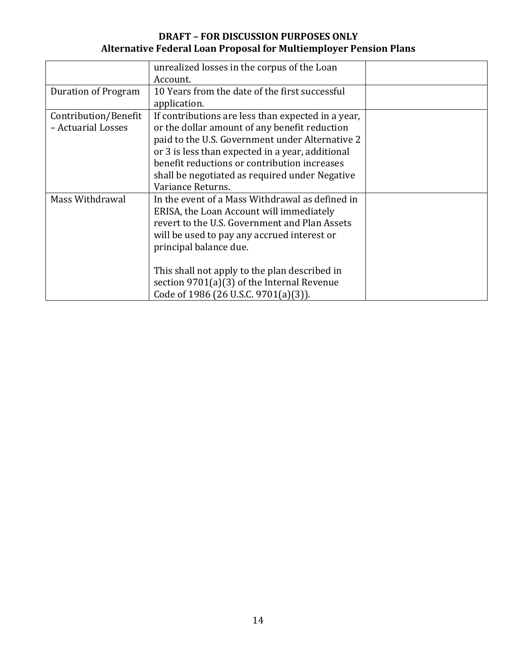|                      | unrealized losses in the corpus of the Loan        |  |
|----------------------|----------------------------------------------------|--|
|                      | Account.                                           |  |
| Duration of Program  | 10 Years from the date of the first successful     |  |
|                      | application.                                       |  |
| Contribution/Benefit | If contributions are less than expected in a year, |  |
| - Actuarial Losses   | or the dollar amount of any benefit reduction      |  |
|                      | paid to the U.S. Government under Alternative 2    |  |
|                      | or 3 is less than expected in a year, additional   |  |
|                      | benefit reductions or contribution increases       |  |
|                      | shall be negotiated as required under Negative     |  |
|                      | Variance Returns.                                  |  |
| Mass Withdrawal      | In the event of a Mass Withdrawal as defined in    |  |
|                      | ERISA, the Loan Account will immediately           |  |
|                      | revert to the U.S. Government and Plan Assets      |  |
|                      | will be used to pay any accrued interest or        |  |
|                      | principal balance due.                             |  |
|                      |                                                    |  |
|                      | This shall not apply to the plan described in      |  |
|                      | section $9701(a)(3)$ of the Internal Revenue       |  |
|                      | Code of 1986 (26 U.S.C. 9701(a)(3)).               |  |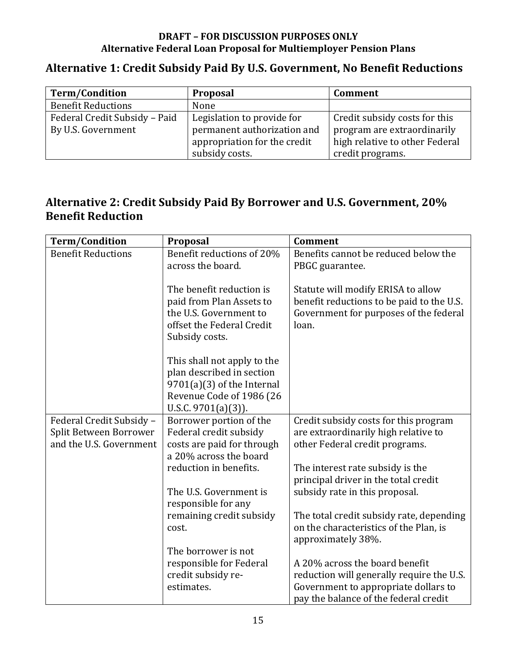# Alternative 1: Credit Subsidy Paid By U.S. Government, No Benefit Reductions

| <b>Term/Condition</b>         | Proposal                     | Comment                        |
|-------------------------------|------------------------------|--------------------------------|
| <b>Benefit Reductions</b>     | None                         |                                |
| Federal Credit Subsidy - Paid | Legislation to provide for   | Credit subsidy costs for this  |
| By U.S. Government            | permanent authorization and  | program are extraordinarily    |
|                               | appropriation for the credit | high relative to other Federal |
|                               | subsidy costs.               | credit programs.               |

# Alternative 2: Credit Subsidy Paid By Borrower and U.S. Government, 20% **Benefit Reduction**

| <b>Term/Condition</b>     | Proposal                     | <b>Comment</b>                            |
|---------------------------|------------------------------|-------------------------------------------|
| <b>Benefit Reductions</b> | Benefit reductions of 20%    | Benefits cannot be reduced below the      |
|                           | across the board.            | PBGC guarantee.                           |
|                           |                              |                                           |
|                           | The benefit reduction is     | Statute will modify ERISA to allow        |
|                           | paid from Plan Assets to     | benefit reductions to be paid to the U.S. |
|                           | the U.S. Government to       | Government for purposes of the federal    |
|                           | offset the Federal Credit    | loan.                                     |
|                           | Subsidy costs.               |                                           |
|                           |                              |                                           |
|                           | This shall not apply to the  |                                           |
|                           | plan described in section    |                                           |
|                           | $9701(a)(3)$ of the Internal |                                           |
|                           | Revenue Code of 1986 (26     |                                           |
|                           | U.S.C. $9701(a)(3)$ ).       |                                           |
| Federal Credit Subsidy -  | Borrower portion of the      | Credit subsidy costs for this program     |
| Split Between Borrower    | Federal credit subsidy       | are extraordinarily high relative to      |
| and the U.S. Government   | costs are paid for through   | other Federal credit programs.            |
|                           | a 20% across the board       |                                           |
|                           | reduction in benefits.       | The interest rate subsidy is the          |
|                           |                              | principal driver in the total credit      |
|                           | The U.S. Government is       | subsidy rate in this proposal.            |
|                           | responsible for any          |                                           |
|                           | remaining credit subsidy     | The total credit subsidy rate, depending  |
|                           | cost.                        | on the characteristics of the Plan, is    |
|                           |                              | approximately 38%.                        |
|                           | The borrower is not          |                                           |
|                           | responsible for Federal      | A 20% across the board benefit            |
|                           | credit subsidy re-           | reduction will generally require the U.S. |
|                           | estimates.                   | Government to appropriate dollars to      |
|                           |                              | pay the balance of the federal credit     |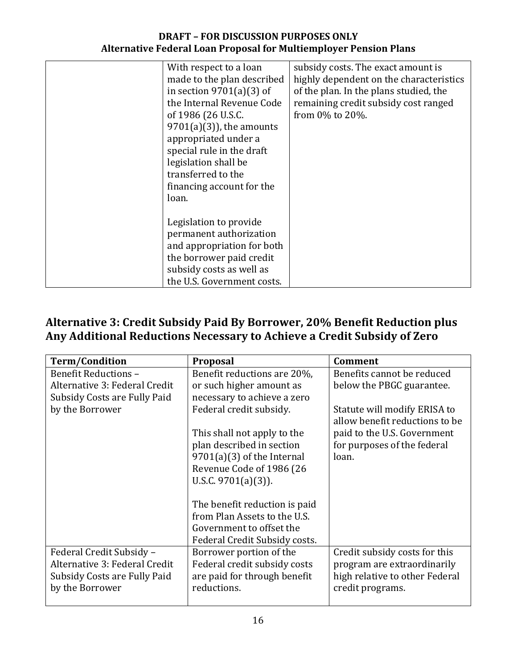| With respect to a loan     | subsidy costs. The exact amount is      |
|----------------------------|-----------------------------------------|
|                            |                                         |
| made to the plan described | highly dependent on the characteristics |
| in section $9701(a)(3)$ of | of the plan. In the plans studied, the  |
| the Internal Revenue Code  | remaining credit subsidy cost ranged    |
| of 1986 (26 U.S.C.         | from 0% to 20%.                         |
| $9701(a)(3)$ , the amounts |                                         |
| appropriated under a       |                                         |
| special rule in the draft  |                                         |
| legislation shall be       |                                         |
| transferred to the         |                                         |
| financing account for the  |                                         |
| loan.                      |                                         |
|                            |                                         |
| Legislation to provide     |                                         |
| permanent authorization    |                                         |
| and appropriation for both |                                         |
| the borrower paid credit   |                                         |
| subsidy costs as well as   |                                         |
| the U.S. Government costs. |                                         |

# Alternative 3: Credit Subsidy Paid By Borrower, 20% Benefit Reduction plus **Any Additional Reductions Necessary to Achieve a Credit Subsidy of Zero**

| <b>Term/Condition</b>         | Proposal                      | <b>Comment</b>                                                 |
|-------------------------------|-------------------------------|----------------------------------------------------------------|
| <b>Benefit Reductions -</b>   | Benefit reductions are 20%,   | Benefits cannot be reduced                                     |
| Alternative 3: Federal Credit | or such higher amount as      | below the PBGC guarantee.                                      |
| Subsidy Costs are Fully Paid  | necessary to achieve a zero   |                                                                |
| by the Borrower               | Federal credit subsidy.       | Statute will modify ERISA to<br>allow benefit reductions to be |
|                               | This shall not apply to the   | paid to the U.S. Government                                    |
|                               | plan described in section     | for purposes of the federal                                    |
|                               | $9701(a)(3)$ of the Internal  | loan.                                                          |
|                               | Revenue Code of 1986 (26      |                                                                |
|                               | U.S.C. $9701(a)(3)$ ).        |                                                                |
|                               |                               |                                                                |
|                               | The benefit reduction is paid |                                                                |
|                               | from Plan Assets to the U.S.  |                                                                |
|                               | Government to offset the      |                                                                |
|                               | Federal Credit Subsidy costs. |                                                                |
| Federal Credit Subsidy -      | Borrower portion of the       | Credit subsidy costs for this                                  |
| Alternative 3: Federal Credit | Federal credit subsidy costs  | program are extraordinarily                                    |
| Subsidy Costs are Fully Paid  | are paid for through benefit  | high relative to other Federal                                 |
| by the Borrower               | reductions.                   | credit programs.                                               |
|                               |                               |                                                                |